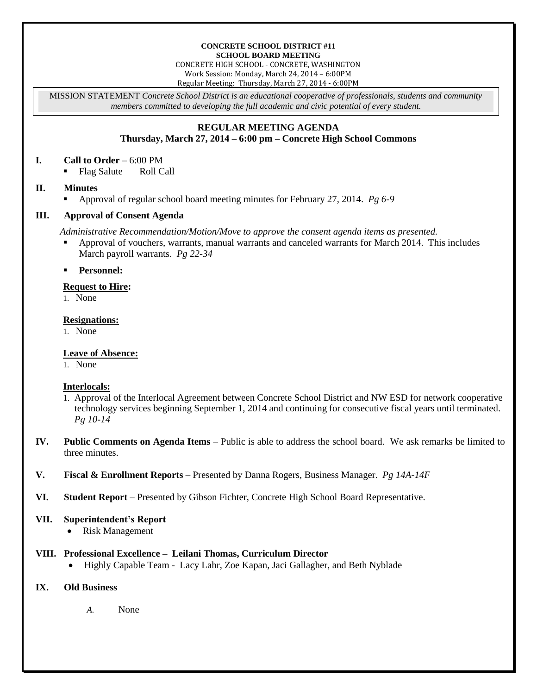#### **CONCRETE SCHOOL DISTRICT #11 SCHOOL BOARD MEETING**

CONCRETE HIGH SCHOOL - CONCRETE, WASHINGTON Work Session: Monday, March 24, 2014 – 6:00PM

Regular Meeting: Thursday, March 27, 2014 - 6:00PM

MISSION STATEMENT *Concrete School District is an educational cooperative of professionals, students and community members committed to developing the full academic and civic potential of every student.*

#### **REGULAR MEETING AGENDA Thursday, March 27, 2014 – 6:00 pm – Concrete High School Commons**

#### **I. Call to Order** – 6:00 PM

• Flag Salute Roll Call

# **II. Minutes**

Approval of regular school board meeting minutes for February 27, 2014. *Pg 6-9* 

# **III. Approval of Consent Agenda**

*Administrative Recommendation/Motion/Move to approve the consent agenda items as presented.*

- Approval of vouchers, warrants, manual warrants and canceled warrants for March 2014. This includes March payroll warrants. *Pg 22-34*
- **Personnel:**

# **Request to Hire:**

1. None

#### **Resignations:**

1. None

# **Leave of Absence:**

1. None

# **Interlocals:**

- 1. Approval of the Interlocal Agreement between Concrete School District and NW ESD for network cooperative technology services beginning September 1, 2014 and continuing for consecutive fiscal years until terminated. *Pg 10-14*
- **IV. Public Comments on Agenda Items** Public is able to address the school board. We ask remarks be limited to three minutes.
- **V. Fiscal & Enrollment Reports –** Presented by Danna Rogers, Business Manager. *Pg 14A-14F*
- **VI. Student Report** Presented by Gibson Fichter, Concrete High School Board Representative.

# **VII. Superintendent's Report**

• Risk Management

# **VIII. Professional Excellence – Leilani Thomas, Curriculum Director**

Highly Capable Team - Lacy Lahr, Zoe Kapan, Jaci Gallagher, and Beth Nyblade

# **IX. Old Business**

*A.* None